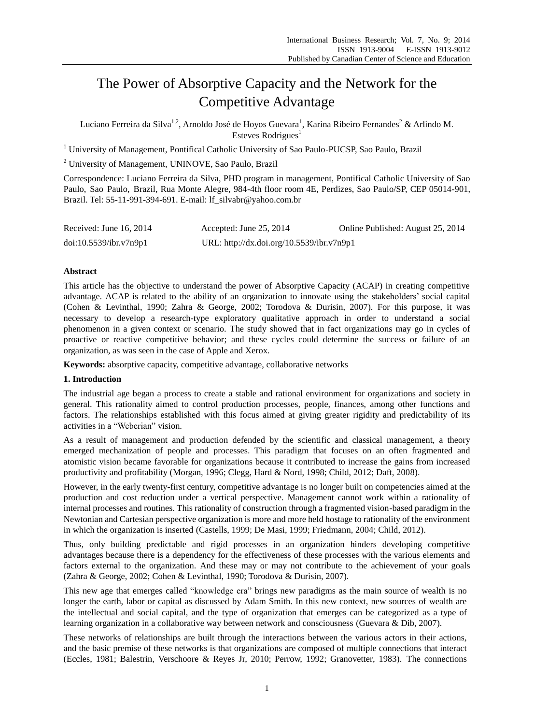# The Power of Absorptive Capacity and the Network for the Competitive Advantage

Luciano Ferreira da Silva<sup>1,2</sup>, Arnoldo Jos éde Hoyos Guevara<sup>1</sup>, Karina Ribeiro Fernandes<sup>2</sup> & Arlindo M. Esteves  $Rodrigues<sup>1</sup>$ 

<sup>1</sup> University of Management, Pontifical Catholic University of Sao Paulo-PUCSP, Sao Paulo, Brazil

<sup>2</sup> University of Management, UNINOVE, Sao Paulo, Brazil

Correspondence: Luciano Ferreira da Silva, PHD program in management, Pontifical Catholic University of Sao Paulo, Sao Paulo, Brazil, Rua Monte Alegre, 984-4th floor room 4E, Perdizes, Sao Paulo/SP, CEP 05014-901, Brazil. Tel: 55-11-991-394-691. E-mail: lf\_silvabr@yahoo.com.br

| Received: June $16, 2014$ | Accepted: June $25, 2014$                 | Online Published: August 25, 2014 |
|---------------------------|-------------------------------------------|-----------------------------------|
| doi:10.5539/ibr.v7n9p1    | URL: http://dx.doi.org/10.5539/ibr.v7n9p1 |                                   |

# **Abstract**

This article has the objective to understand the power of Absorptive Capacity (ACAP) in creating competitive advantage. ACAP is related to the ability of an organization to innovate using the stakeholders' social capital (Cohen & Levinthal, 1990; Zahra & George, 2002; Torodova & Durisin, 2007). For this purpose, it was necessary to develop a research-type exploratory qualitative approach in order to understand a social phenomenon in a given context or scenario. The study showed that in fact organizations may go in cycles of proactive or reactive competitive behavior; and these cycles could determine the success or failure of an organization, as was seen in the case of Apple and Xerox.

**Keywords:** absorptive capacity, competitive advantage, collaborative networks

## **1. Introduction**

The industrial age began a process to create a stable and rational environment for organizations and society in general. This rationality aimed to control production processes, people, finances, among other functions and factors. The relationships established with this focus aimed at giving greater rigidity and predictability of its activities in a "Weberian" vision.

As a result of management and production defended by the scientific and classical management, a theory emerged mechanization of people and processes. This paradigm that focuses on an often fragmented and atomistic vision became favorable for organizations because it contributed to increase the gains from increased productivity and profitability (Morgan, 1996; Clegg, Hard & Nord, 1998; Child, 2012; Daft, 2008).

However, in the early twenty-first century, competitive advantage is no longer built on competencies aimed at the production and cost reduction under a vertical perspective. Management cannot work within a rationality of internal processes and routines. This rationality of construction through a fragmented vision-based paradigm in the Newtonian and Cartesian perspective organization is more and more held hostage to rationality of the environment in which the organization is inserted (Castells, 1999; De Masi, 1999; Friedmann, 2004; Child, 2012).

Thus, only building predictable and rigid processes in an organization hinders developing competitive advantages because there is a dependency for the effectiveness of these processes with the various elements and factors external to the organization. And these may or may not contribute to the achievement of your goals (Zahra & George, 2002; Cohen & Levinthal, 1990; Torodova & Durisin, 2007).

This new age that emerges called "knowledge era" brings new paradigms as the main source of wealth is no longer the earth, labor or capital as discussed by Adam Smith. In this new context, new sources of wealth are the intellectual and social capital, and the type of organization that emerges can be categorized as a type of learning organization in a collaborative way between network and consciousness (Guevara & Dib, 2007).

These networks of relationships are built through the interactions between the various actors in their actions, and the basic premise of these networks is that organizations are composed of multiple connections that interact (Eccles, 1981; Balestrin, Verschoore & Reyes Jr, 2010; Perrow, 1992; Granovetter, 1983). The connections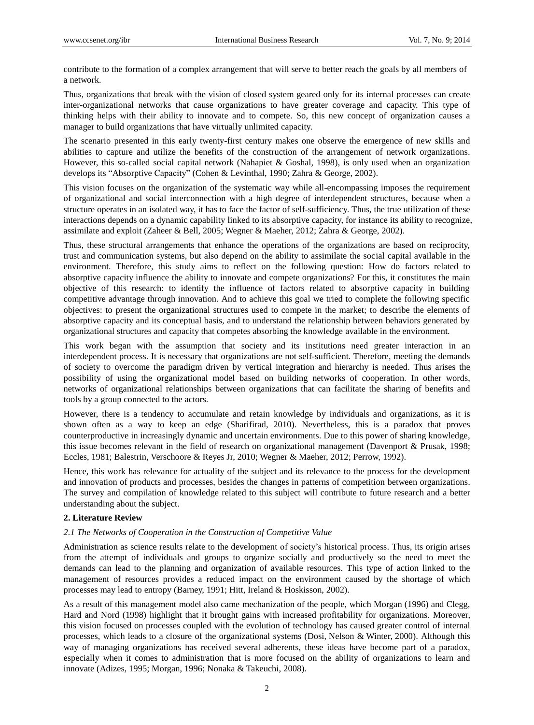contribute to the formation of a complex arrangement that will serve to better reach the goals by all members of a network.

Thus, organizations that break with the vision of closed system geared only for its internal processes can create inter-organizational networks that cause organizations to have greater coverage and capacity. This type of thinking helps with their ability to innovate and to compete. So, this new concept of organization causes a manager to build organizations that have virtually unlimited capacity.

The scenario presented in this early twenty-first century makes one observe the emergence of new skills and abilities to capture and utilize the benefits of the construction of the arrangement of network organizations. However, this so-called social capital network (Nahapiet & Goshal, 1998), is only used when an organization develops its "Absorptive Capacity" (Cohen & Levinthal, 1990; Zahra & George, 2002).

This vision focuses on the organization of the systematic way while all-encompassing imposes the requirement of organizational and social interconnection with a high degree of interdependent structures, because when a structure operates in an isolated way, it has to face the factor of self-sufficiency. Thus, the true utilization of these interactions depends on a dynamic capability linked to its absorptive capacity, for instance its ability to recognize, assimilate and exploit (Zaheer & Bell, 2005; Wegner & Maeher, 2012; Zahra & George, 2002).

Thus, these structural arrangements that enhance the operations of the organizations are based on reciprocity, trust and communication systems, but also depend on the ability to assimilate the social capital available in the environment. Therefore, this study aims to reflect on the following question: How do factors related to absorptive capacity influence the ability to innovate and compete organizations? For this, it constitutes the main objective of this research: to identify the influence of factors related to absorptive capacity in building competitive advantage through innovation. And to achieve this goal we tried to complete the following specific objectives: to present the organizational structures used to compete in the market; to describe the elements of absorptive capacity and its conceptual basis, and to understand the relationship between behaviors generated by organizational structures and capacity that competes absorbing the knowledge available in the environment.

This work began with the assumption that society and its institutions need greater interaction in an interdependent process. It is necessary that organizations are not self-sufficient. Therefore, meeting the demands of society to overcome the paradigm driven by vertical integration and hierarchy is needed. Thus arises the possibility of using the organizational model based on building networks of cooperation. In other words, networks of organizational relationships between organizations that can facilitate the sharing of benefits and tools by a group connected to the actors.

However, there is a tendency to accumulate and retain knowledge by individuals and organizations, as it is shown often as a way to keep an edge (Sharifirad, 2010). Nevertheless, this is a paradox that proves counterproductive in increasingly dynamic and uncertain environments. Due to this power of sharing knowledge, this issue becomes relevant in the field of research on organizational management (Davenport & Prusak, 1998; Eccles, 1981; Balestrin, Verschoore & Reyes Jr, 2010; Wegner & Maeher, 2012; Perrow, 1992).

Hence, this work has relevance for actuality of the subject and its relevance to the process for the development and innovation of products and processes, besides the changes in patterns of competition between organizations. The survey and compilation of knowledge related to this subject will contribute to future research and a better understanding about the subject.

#### **2. Literature Review**

#### *2.1 The Networks of Cooperation in the Construction of Competitive Value*

Administration as science results relate to the development of society's historical process. Thus, its origin arises from the attempt of individuals and groups to organize socially and productively so the need to meet the demands can lead to the planning and organization of available resources. This type of action linked to the management of resources provides a reduced impact on the environment caused by the shortage of which processes may lead to entropy (Barney, 1991; Hitt, Ireland & Hoskisson, 2002).

As a result of this management model also came mechanization of the people, which Morgan (1996) and Clegg, Hard and Nord (1998) highlight that it brought gains with increased profitability for organizations. Moreover, this vision focused on processes coupled with the evolution of technology has caused greater control of internal processes, which leads to a closure of the organizational systems (Dosi, Nelson & Winter, 2000). Although this way of managing organizations has received several adherents, these ideas have become part of a paradox, especially when it comes to administration that is more focused on the ability of organizations to learn and innovate (Adizes, 1995; Morgan, 1996; Nonaka & Takeuchi, 2008).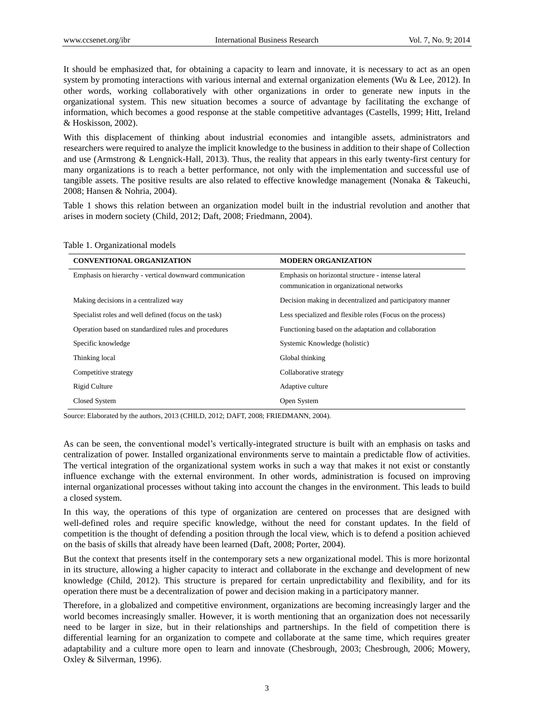It should be emphasized that, for obtaining a capacity to learn and innovate, it is necessary to act as an open system by promoting interactions with various internal and external organization elements (Wu & Lee, 2012). In other words, working collaboratively with other organizations in order to generate new inputs in the organizational system. This new situation becomes a source of advantage by facilitating the exchange of information, which becomes a good response at the stable competitive advantages (Castells, 1999; Hitt, Ireland & Hoskisson, 2002).

With this displacement of thinking about industrial economies and intangible assets, administrators and researchers were required to analyze the implicit knowledge to the business in addition to their shape of Collection and use (Armstrong & Lengnick-Hall, 2013). Thus, the reality that appears in this early twenty-first century for many organizations is to reach a better performance, not only with the implementation and successful use of tangible assets. The positive results are also related to effective knowledge management (Nonaka & Takeuchi, 2008; Hansen & Nohria, 2004).

Table 1 shows this relation between an organization model built in the industrial revolution and another that arises in modern society (Child, 2012; Daft, 2008; Friedmann, 2004).

| <b>CONVENTIONAL ORGANIZATION</b>                        | <b>MODERN ORGANIZATION</b>                                                                     |
|---------------------------------------------------------|------------------------------------------------------------------------------------------------|
| Emphasis on hierarchy - vertical downward communication | Emphasis on horizontal structure - intense lateral<br>communication in organizational networks |
| Making decisions in a centralized way                   | Decision making in decentralized and participatory manner                                      |
| Specialist roles and well defined (focus on the task)   | Less specialized and flexible roles (Focus on the process)                                     |
| Operation based on standardized rules and procedures    | Functioning based on the adaptation and collaboration                                          |
| Specific knowledge                                      | Systemic Knowledge (holistic)                                                                  |
| Thinking local                                          | Global thinking                                                                                |
| Competitive strategy                                    | Collaborative strategy                                                                         |
| Rigid Culture                                           | Adaptive culture                                                                               |
| Closed System                                           | Open System                                                                                    |

Source: Elaborated by the authors, 2013 (CHILD, 2012; DAFT, 2008; FRIEDMANN, 2004).

As can be seen, the conventional model's vertically-integrated structure is built with an emphasis on tasks and centralization of power. Installed organizational environments serve to maintain a predictable flow of activities. The vertical integration of the organizational system works in such a way that makes it not exist or constantly influence exchange with the external environment. In other words, administration is focused on improving internal organizational processes without taking into account the changes in the environment. This leads to build a closed system.

In this way, the operations of this type of organization are centered on processes that are designed with well-defined roles and require specific knowledge, without the need for constant updates. In the field of competition is the thought of defending a position through the local view, which is to defend a position achieved on the basis of skills that already have been learned (Daft, 2008; Porter, 2004).

But the context that presents itself in the contemporary sets a new organizational model. This is more horizontal in its structure, allowing a higher capacity to interact and collaborate in the exchange and development of new knowledge (Child, 2012). This structure is prepared for certain unpredictability and flexibility, and for its operation there must be a decentralization of power and decision making in a participatory manner.

Therefore, in a globalized and competitive environment, organizations are becoming increasingly larger and the world becomes increasingly smaller. However, it is worth mentioning that an organization does not necessarily need to be larger in size, but in their relationships and partnerships. In the field of competition there is differential learning for an organization to compete and collaborate at the same time, which requires greater adaptability and a culture more open to learn and innovate (Chesbrough, 2003; Chesbrough, 2006; Mowery, Oxley & Silverman, 1996).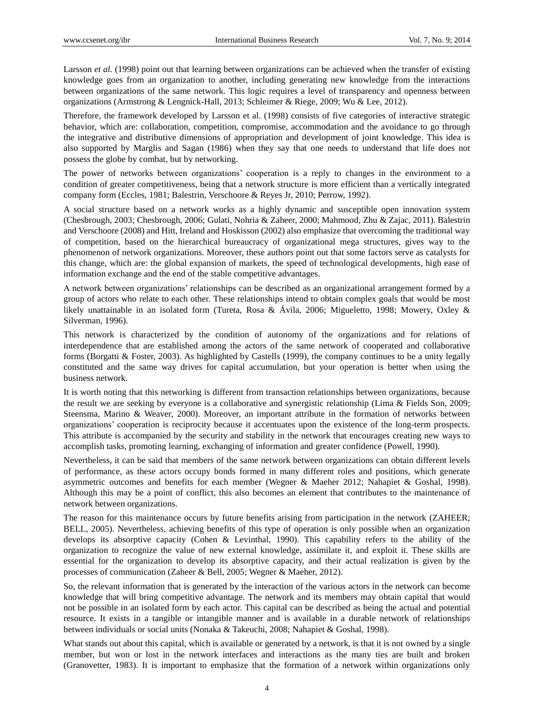Larsson *et al.* (1998) point out that learning between organizations can be achieved when the transfer of existing knowledge goes from an organization to another, including generating new knowledge from the interactions between organizations of the same network. This logic requires a level of transparency and openness between organizations (Armstrong & Lengnick-Hall, 2013; Schleimer & Riege, 2009; Wu & Lee, 2012).

Therefore, the framework developed by Larsson et al. (1998) consists of five categories of interactive strategic behavior, which are: collaboration, competition, compromise, accommodation and the avoidance to go through the integrative and distributive dimensions of appropriation and development of joint knowledge. This idea is also supported by Marglis and Sagan (1986) when they say that one needs to understand that life does not possess the globe by combat, but by networking.

The power of networks between organizations' cooperation is a reply to changes in the environment to a condition of greater competitiveness, being that a network structure is more efficient than a vertically integrated company form (Eccles, 1981; Balestrin, Verschoore & Reyes Jr, 2010; Perrow, 1992).

A social structure based on a network works as a highly dynamic and susceptible open innovation system (Chesbrough, 2003; Chesbrough, 2006; Gulati, Nohria & Zaheer, 2000; Mahmood, Zhu & Zajac, 2011). Balestrin and Verschoore (2008) and Hitt, Ireland and Hoskisson (2002) also emphasize that overcoming the traditional way of competition, based on the hierarchical bureaucracy of organizational mega structures, gives way to the phenomenon of network organizations. Moreover, these authors point out that some factors serve as catalysts for this change, which are: the global expansion of markets, the speed of technological developments, high ease of information exchange and the end of the stable competitive advantages.

A network between organizations' relationships can be described as an organizational arrangement formed by a group of actors who relate to each other. These relationships intend to obtain complex goals that would be most likely unattainable in an isolated form (Tureta, Rosa & Ávila, 2006; Migueletto, 1998; Mowery, Oxley & Silverman, 1996).

This network is characterized by the condition of autonomy of the organizations and for relations of interdependence that are established among the actors of the same network of cooperated and collaborative forms (Borgatti & Foster, 2003). As highlighted by Castells (1999), the company continues to be a unity legally constituted and the same way drives for capital accumulation, but your operation is better when using the business network.

It is worth noting that this networking is different from transaction relationships between organizations, because the result we are seeking by everyone is a collaborative and synergistic relationship (Lima & Fields Son, 2009; Steensma, Marino & Weaver, 2000). Moreover, an important attribute in the formation of networks between organizations' cooperation is reciprocity because it accentuates upon the existence of the long-term prospects. This attribute is accompanied by the security and stability in the network that encourages creating new ways to accomplish tasks, promoting learning, exchanging of information and greater confidence (Powell, 1990).

Nevertheless, it can be said that members of the same network between organizations can obtain different levels of performance, as these actors occupy bonds formed in many different roles and positions, which generate asymmetric outcomes and benefits for each member (Wegner & Maeher 2012; Nahapiet & Goshal, 1998). Although this may be a point of conflict, this also becomes an element that contributes to the maintenance of network between organizations.

The reason for this maintenance occurs by future benefits arising from participation in the network (ZAHEER; BELL, 2005). Nevertheless, achieving benefits of this type of operation is only possible when an organization develops its absorptive capacity (Cohen & Levinthal, 1990). This capability refers to the ability of the organization to recognize the value of new external knowledge, assimilate it, and exploit it. These skills are essential for the organization to develop its absorptive capacity, and their actual realization is given by the processes of communication (Zaheer & Bell, 2005; Wegner & Maeher, 2012).

So, the relevant information that is generated by the interaction of the various actors in the network can become knowledge that will bring competitive advantage. The network and its members may obtain capital that would not be possible in an isolated form by each actor. This capital can be described as being the actual and potential resource. It exists in a tangible or intangible manner and is available in a durable network of relationships between individuals or social units (Nonaka & Takeuchi, 2008; Nahapiet & Goshal, 1998).

What stands out about this capital, which is available or generated by a network, is that it is not owned by a single member, but won or lost in the network interfaces and interactions as the many ties are built and broken (Granovetter, 1983). It is important to emphasize that the formation of a network within organizations only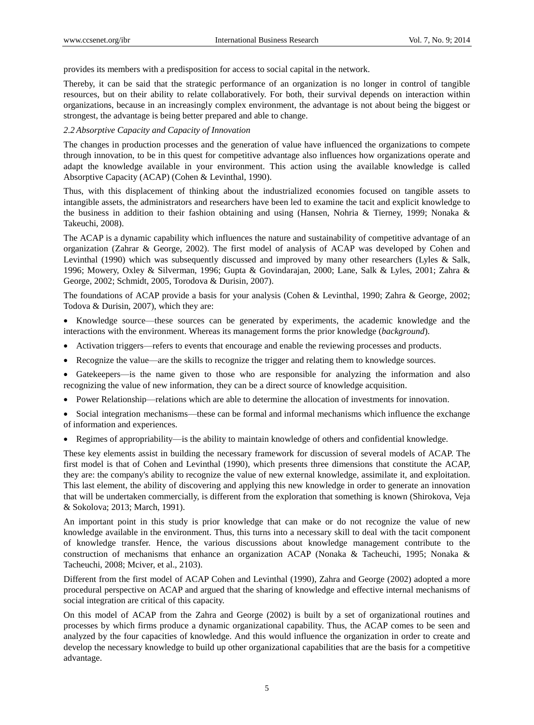provides its members with a predisposition for access to social capital in the network.

Thereby, it can be said that the strategic performance of an organization is no longer in control of tangible resources, but on their ability to relate collaboratively. For both, their survival depends on interaction within organizations, because in an increasingly complex environment, the advantage is not about being the biggest or strongest, the advantage is being better prepared and able to change.

# *2.2 Absorptive Capacity and Capacity of Innovation*

The changes in production processes and the generation of value have influenced the organizations to compete through innovation, to be in this quest for competitive advantage also influences how organizations operate and adapt the knowledge available in your environment. This action using the available knowledge is called Absorptive Capacity (ACAP) (Cohen & Levinthal, 1990).

Thus, with this displacement of thinking about the industrialized economies focused on tangible assets to intangible assets, the administrators and researchers have been led to examine the tacit and explicit knowledge to the business in addition to their fashion obtaining and using (Hansen, Nohria & Tierney, 1999; Nonaka & Takeuchi, 2008).

The ACAP is a dynamic capability which influences the nature and sustainability of competitive advantage of an organization (Zahrar & George, 2002). The first model of analysis of ACAP was developed by Cohen and Levinthal (1990) which was subsequently discussed and improved by many other researchers (Lyles & Salk, 1996; Mowery, Oxley & Silverman, 1996; Gupta & Govindarajan, 2000; Lane, Salk & Lyles, 2001; Zahra & George, 2002; Schmidt, 2005, Torodova & Durisin, 2007).

The foundations of ACAP provide a basis for your analysis (Cohen & Levinthal, 1990; Zahra & George, 2002; Todova & Durisin, 2007), which they are:

• Knowledge source—these sources can be generated by experiments, the academic knowledge and the interactions with the environment. Whereas its management forms the prior knowledge (*background*).

- Activation triggers—refers to events that encourage and enable the reviewing processes and products.
- Recognize the value—are the skills to recognize the trigger and relating them to knowledge sources.
- Gatekeepers—is the name given to those who are responsible for analyzing the information and also recognizing the value of new information, they can be a direct source of knowledge acquisition.
- Power Relationship—relations which are able to determine the allocation of investments for innovation.

• Social integration mechanisms—these can be formal and informal mechanisms which influence the exchange of information and experiences.

Regimes of appropriability—is the ability to maintain knowledge of others and confidential knowledge.

These key elements assist in building the necessary framework for discussion of several models of ACAP. The first model is that of Cohen and Levinthal (1990), which presents three dimensions that constitute the ACAP, they are: the company's ability to recognize the value of new external knowledge, assimilate it, and exploitation. This last element, the ability of discovering and applying this new knowledge in order to generate an innovation that will be undertaken commercially, is different from the exploration that something is known (Shirokova, Veja & Sokolova; 2013; March, 1991).

An important point in this study is prior knowledge that can make or do not recognize the value of new knowledge available in the environment. Thus, this turns into a necessary skill to deal with the tacit component of knowledge transfer. Hence, the various discussions about knowledge management contribute to the construction of mechanisms that enhance an organization ACAP (Nonaka & Tacheuchi, 1995; Nonaka & Tacheuchi, 2008; Mciver, et al., 2103).

Different from the first model of ACAP Cohen and Levinthal (1990), Zahra and George (2002) adopted a more procedural perspective on ACAP and argued that the sharing of knowledge and effective internal mechanisms of social integration are critical of this capacity.

On this model of ACAP from the Zahra and George (2002) is built by a set of organizational routines and processes by which firms produce a dynamic organizational capability. Thus, the ACAP comes to be seen and analyzed by the four capacities of knowledge. And this would influence the organization in order to create and develop the necessary knowledge to build up other organizational capabilities that are the basis for a competitive advantage.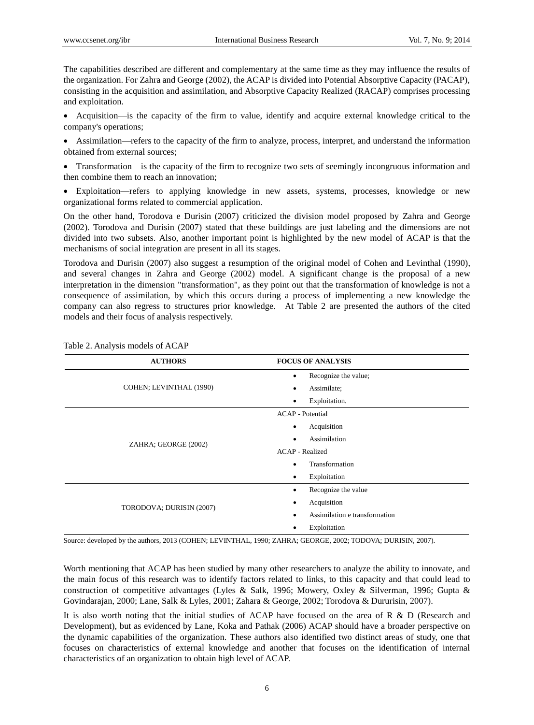The capabilities described are different and complementary at the same time as they may influence the results of the organization. For Zahra and George (2002), the ACAP is divided into Potential Absorptive Capacity (PACAP), consisting in the acquisition and assimilation, and Absorptive Capacity Realized (RACAP) comprises processing and exploitation.

 Acquisition—is the capacity of the firm to value, identify and acquire external knowledge critical to the company's operations;

 Assimilation—refers to the capacity of the firm to analyze, process, interpret, and understand the information obtained from external sources;

 Transformation—is the capacity of the firm to recognize two sets of seemingly incongruous information and then combine them to reach an innovation;

 Exploitation—refers to applying knowledge in new assets, systems, processes, knowledge or new organizational forms related to commercial application.

On the other hand, Torodova e Durisin (2007) criticized the division model proposed by Zahra and George (2002). Torodova and Durisin (2007) stated that these buildings are just labeling and the dimensions are not divided into two subsets. Also, another important point is highlighted by the new model of ACAP is that the mechanisms of social integration are present in all its stages.

Torodova and Durisin (2007) also suggest a resumption of the original model of Cohen and Levinthal (1990), and several changes in Zahra and George (2002) model. A significant change is the proposal of a new interpretation in the dimension "transformation", as they point out that the transformation of knowledge is not a consequence of assimilation, by which this occurs during a process of implementing a new knowledge the company can also regress to structures prior knowledge. At Table 2 are presented the authors of the cited models and their focus of analysis respectively.

| <b>AUTHORS</b>           | <b>FOCUS OF ANALYSIS</b>          |  |
|--------------------------|-----------------------------------|--|
| COHEN; LEVINTHAL (1990)  | Recognize the value;<br>$\bullet$ |  |
|                          | Assimilate;<br>٠                  |  |
|                          | Exploitation.<br>$\bullet$        |  |
| ZAHRA; GEORGE (2002)     | <b>ACAP</b> - Potential           |  |
|                          | Acquisition<br>$\bullet$          |  |
|                          | Assimilation<br>$\bullet$         |  |
|                          | <b>ACAP</b> - Realized            |  |
|                          | Transformation<br>$\bullet$       |  |
|                          | Exploitation<br>$\bullet$         |  |
| TORODOVA; DURISIN (2007) | Recognize the value<br>٠          |  |
|                          | Acquisition<br>٠                  |  |
|                          | Assimilation e transformation     |  |
|                          | Exploitation                      |  |

Table 2. Analysis models of ACAP

Source: developed by the authors, 2013 (COHEN; LEVINTHAL, 1990; ZAHRA; GEORGE, 2002; TODOVA; DURISIN, 2007).

Worth mentioning that ACAP has been studied by many other researchers to analyze the ability to innovate, and the main focus of this research was to identify factors related to links, to this capacity and that could lead to construction of competitive advantages (Lyles & Salk, 1996; Mowery, Oxley & Silverman, 1996; Gupta & Govindarajan, 2000; Lane, Salk & Lyles, 2001; Zahara & George, 2002; Torodova & Dururisin, 2007).

It is also worth noting that the initial studies of ACAP have focused on the area of R & D (Research and Development), but as evidenced by Lane, Koka and Pathak (2006) ACAP should have a broader perspective on the dynamic capabilities of the organization. These authors also identified two distinct areas of study, one that focuses on characteristics of external knowledge and another that focuses on the identification of internal characteristics of an organization to obtain high level of ACAP.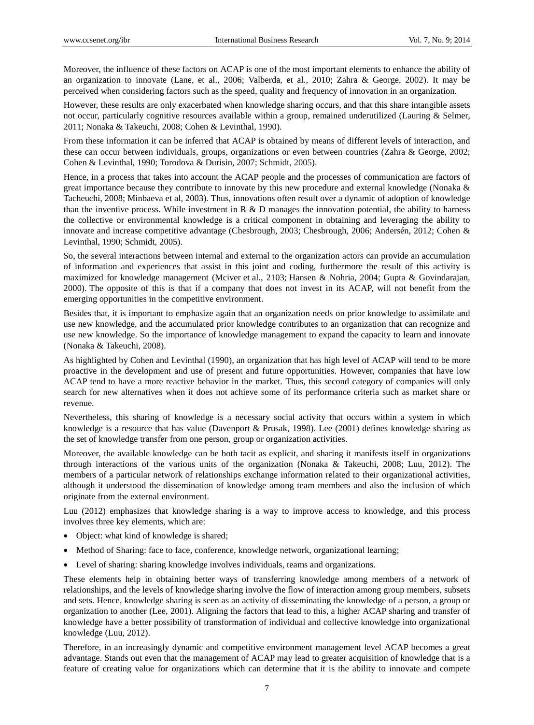Moreover, the influence of these factors on ACAP is one of the most important elements to enhance the ability of an organization to innovate (Lane, et al., 2006; Valberda, et al., 2010; Zahra & George, 2002). It may be perceived when considering factors such as the speed, quality and frequency of innovation in an organization.

However, these results are only exacerbated when knowledge sharing occurs, and that this share intangible assets not occur, particularly cognitive resources available within a group, remained underutilized (Lauring & Selmer, 2011; Nonaka & Takeuchi, 2008; Cohen & Levinthal, 1990).

From these information it can be inferred that ACAP is obtained by means of different levels of interaction, and these can occur between individuals, groups, organizations or even between countries (Zahra & George, 2002; Cohen & Levinthal, 1990; Torodova & Durisin, 2007; Schmidt, 2005).

Hence, in a process that takes into account the ACAP people and the processes of communication are factors of great importance because they contribute to innovate by this new procedure and external knowledge (Nonaka & Tacheuchi, 2008; Minbaeva et al, 2003). Thus, innovations often result over a dynamic of adoption of knowledge than the inventive process. While investment in R  $\&$  D manages the innovation potential, the ability to harness the collective or environmental knowledge is a critical component in obtaining and leveraging the ability to innovate and increase competitive advantage (Chesbrough, 2003; Chesbrough, 2006; Andersén, 2012; Cohen & Levinthal, 1990; Schmidt, 2005).

So, the several interactions between internal and external to the organization actors can provide an accumulation of information and experiences that assist in this joint and coding, furthermore the result of this activity is maximized for knowledge management (Mciver et al., 2103; Hansen & Nohria, 2004; Gupta & Govindarajan, 2000). The opposite of this is that if a company that does not invest in its ACAP, will not benefit from the emerging opportunities in the competitive environment.

Besides that, it is important to emphasize again that an organization needs on prior knowledge to assimilate and use new knowledge, and the accumulated prior knowledge contributes to an organization that can recognize and use new knowledge. So the importance of knowledge management to expand the capacity to learn and innovate (Nonaka & Takeuchi, 2008).

As highlighted by Cohen and Levinthal (1990), an organization that has high level of ACAP will tend to be more proactive in the development and use of present and future opportunities. However, companies that have low ACAP tend to have a more reactive behavior in the market. Thus, this second category of companies will only search for new alternatives when it does not achieve some of its performance criteria such as market share or revenue.

Nevertheless, this sharing of knowledge is a necessary social activity that occurs within a system in which knowledge is a resource that has value (Davenport & Prusak, 1998). Lee (2001) defines knowledge sharing as the set of knowledge transfer from one person, group or organization activities.

Moreover, the available knowledge can be both tacit as explicit, and sharing it manifests itself in organizations through interactions of the various units of the organization (Nonaka & Takeuchi, 2008; Luu, 2012). The members of a particular network of relationships exchange information related to their organizational activities, although it understood the dissemination of knowledge among team members and also the inclusion of which originate from the external environment.

Luu (2012) emphasizes that knowledge sharing is a way to improve access to knowledge, and this process involves three key elements, which are:

- Object: what kind of knowledge is shared;
- Method of Sharing: face to face, conference, knowledge network, organizational learning;
- Level of sharing: sharing knowledge involves individuals, teams and organizations.

These elements help in obtaining better ways of transferring knowledge among members of a network of relationships, and the levels of knowledge sharing involve the flow of interaction among group members, subsets and sets. Hence, knowledge sharing is seen as an activity of disseminating the knowledge of a person, a group or organization to another (Lee, 2001). Aligning the factors that lead to this, a higher ACAP sharing and transfer of knowledge have a better possibility of transformation of individual and collective knowledge into organizational knowledge (Luu, 2012).

Therefore, in an increasingly dynamic and competitive environment management level ACAP becomes a great advantage. Stands out even that the management of ACAP may lead to greater acquisition of knowledge that is a feature of creating value for organizations which can determine that it is the ability to innovate and compete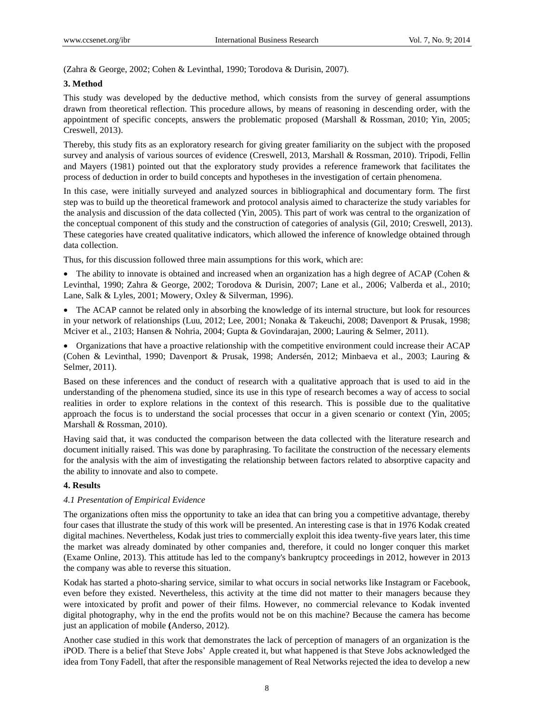(Zahra & George, 2002; Cohen & Levinthal, 1990; Torodova & Durisin, 2007).

# **3. Method**

This study was developed by the deductive method, which consists from the survey of general assumptions drawn from theoretical reflection. This procedure allows, by means of reasoning in descending order, with the appointment of specific concepts, answers the problematic proposed (Marshall & Rossman, 2010; Yin, 2005; Creswell, 2013).

Thereby, this study fits as an exploratory research for giving greater familiarity on the subject with the proposed survey and analysis of various sources of evidence (Creswell, 2013, Marshall & Rossman, 2010). Tripodi, Fellin and Mayers (1981) pointed out that the exploratory study provides a reference framework that facilitates the process of deduction in order to build concepts and hypotheses in the investigation of certain phenomena.

In this case, were initially surveyed and analyzed sources in bibliographical and documentary form. The first step was to build up the theoretical framework and protocol analysis aimed to characterize the study variables for the analysis and discussion of the data collected (Yin, 2005). This part of work was central to the organization of the conceptual component of this study and the construction of categories of analysis (Gil, 2010; Creswell, 2013). These categories have created qualitative indicators, which allowed the inference of knowledge obtained through data collection.

Thus, for this discussion followed three main assumptions for this work, which are:

• The ability to innovate is obtained and increased when an organization has a high degree of ACAP (Cohen  $\&$ Levinthal, 1990; Zahra & George, 2002; Torodova & Durisin, 2007; Lane et al., 2006; Valberda et al., 2010; Lane, Salk & Lyles, 2001; Mowery, Oxley & Silverman, 1996).

• The ACAP cannot be related only in absorbing the knowledge of its internal structure, but look for resources in your network of relationships (Luu, 2012; Lee, 2001; Nonaka & Takeuchi, 2008; Davenport & Prusak, 1998; Mciver et al., 2103; Hansen & Nohria, 2004; Gupta & Govindarajan, 2000; Lauring & Selmer, 2011).

 Organizations that have a proactive relationship with the competitive environment could increase their ACAP (Cohen & Levinthal, 1990; Davenport & Prusak, 1998; Andersén, 2012; Minbaeva et al., 2003; Lauring & Selmer, 2011).

Based on these inferences and the conduct of research with a qualitative approach that is used to aid in the understanding of the phenomena studied, since its use in this type of research becomes a way of access to social realities in order to explore relations in the context of this research. This is possible due to the qualitative approach the focus is to understand the social processes that occur in a given scenario or context (Yin, 2005; Marshall & Rossman, 2010).

Having said that, it was conducted the comparison between the data collected with the literature research and document initially raised. This was done by paraphrasing. To facilitate the construction of the necessary elements for the analysis with the aim of investigating the relationship between factors related to absorptive capacity and the ability to innovate and also to compete.

## **4. Results**

# *4.1 Presentation of Empirical Evidence*

The organizations often miss the opportunity to take an idea that can bring you a competitive advantage, thereby four cases that illustrate the study of this work will be presented. An interesting case is that in 1976 Kodak created digital machines. Nevertheless, Kodak just tries to commercially exploit this idea twenty-five years later, this time the market was already dominated by other companies and, therefore, it could no longer conquer this market (Exame Online, 2013). This attitude has led to the company's bankruptcy proceedings in 2012, however in 2013 the company was able to reverse this situation.

Kodak has started a photo-sharing service, similar to what occurs in social networks like Instagram or Facebook, even before they existed. Nevertheless, this activity at the time did not matter to their managers because they were intoxicated by profit and power of their films. However, no commercial relevance to Kodak invented digital photography, why in the end the profits would not be on this machine? Because the camera has become just an application of mobile **(**Anderso, 2012).

Another case studied in this work that demonstrates the lack of perception of managers of an organization is the iPOD. There is a belief that Steve Jobs' Apple created it, but what happened is that Steve Jobs acknowledged the idea from Tony Fadell, that after the responsible management of Real Networks rejected the idea to develop a new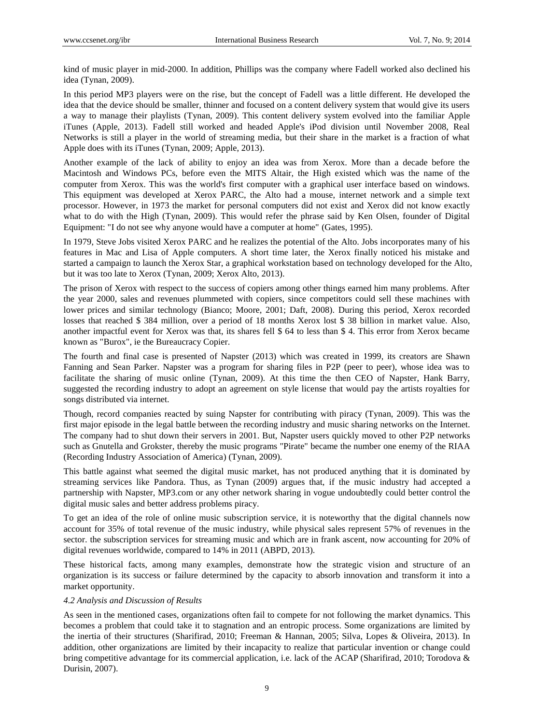kind of music player in mid-2000. In addition, Phillips was the company where Fadell worked also declined his idea (Tynan, 2009).

In this period MP3 players were on the rise, but the concept of Fadell was a little different. He developed the idea that the device should be smaller, thinner and focused on a content delivery system that would give its users a way to manage their playlists (Tynan, 2009). This content delivery system evolved into the familiar Apple iTunes (Apple, 2013). Fadell still worked and headed Apple's iPod division until November 2008, Real Networks is still a player in the world of streaming media, but their share in the market is a fraction of what Apple does with its iTunes (Tynan, 2009; Apple, 2013).

Another example of the lack of ability to enjoy an idea was from Xerox. More than a decade before the Macintosh and Windows PCs, before even the MITS Altair, the High existed which was the name of the computer from Xerox. This was the world's first computer with a graphical user interface based on windows. This equipment was developed at Xerox PARC, the Alto had a mouse, internet network and a simple text processor. However, in 1973 the market for personal computers did not exist and Xerox did not know exactly what to do with the High (Tynan, 2009). This would refer the phrase said by Ken Olsen, founder of Digital Equipment: "I do not see why anyone would have a computer at home" (Gates, 1995).

In 1979, Steve Jobs visited Xerox PARC and he realizes the potential of the Alto. Jobs incorporates many of his features in Mac and Lisa of Apple computers. A short time later, the Xerox finally noticed his mistake and started a campaign to launch the Xerox Star, a graphical workstation based on technology developed for the Alto, but it was too late to Xerox (Tynan, 2009; Xerox Alto, 2013).

The prison of Xerox with respect to the success of copiers among other things earned him many problems. After the year 2000, sales and revenues plummeted with copiers, since competitors could sell these machines with lower prices and similar technology (Bianco; Moore, 2001; Daft, 2008). During this period, Xerox recorded losses that reached \$ 384 million, over a period of 18 months Xerox lost \$ 38 billion in market value. Also, another impactful event for Xerox was that, its shares fell \$ 64 to less than \$ 4. This error from Xerox became known as "Burox", ie the Bureaucracy Copier.

The fourth and final case is presented of Napster (2013) which was created in 1999, its creators are Shawn Fanning and Sean Parker. Napster was a program for sharing files in P2P (peer to peer), whose idea was to facilitate the sharing of music online (Tynan, 2009). At this time the then CEO of Napster, Hank Barry, suggested the recording industry to adopt an agreement on style license that would pay the artists royalties for songs distributed via internet.

Though, record companies reacted by suing Napster for contributing with piracy (Tynan, 2009). This was the first major episode in the legal battle between the recording industry and music sharing networks on the Internet. The company had to shut down their servers in 2001. But, Napster users quickly moved to other P2P networks such as Gnutella and Grokster, thereby the music programs "Pirate" became the number one enemy of the RIAA (Recording Industry Association of America) (Tynan, 2009).

This battle against what seemed the digital music market, has not produced anything that it is dominated by streaming services like Pandora. Thus, as Tynan (2009) argues that, if the music industry had accepted a partnership with Napster, MP3.com or any other network sharing in vogue undoubtedly could better control the digital music sales and better address problems piracy.

To get an idea of the role of online music subscription service, it is noteworthy that the digital channels now account for 35% of total revenue of the music industry, while physical sales represent 57% of revenues in the sector. the subscription services for streaming music and which are in frank ascent, now accounting for 20% of digital revenues worldwide, compared to 14% in 2011 (ABPD, 2013).

These historical facts, among many examples, demonstrate how the strategic vision and structure of an organization is its success or failure determined by the capacity to absorb innovation and transform it into a market opportunity.

## *4.2 Analysis and Discussion of Results*

As seen in the mentioned cases, organizations often fail to compete for not following the market dynamics. This becomes a problem that could take it to stagnation and an entropic process. Some organizations are limited by the inertia of their structures (Sharifirad, 2010; Freeman & Hannan, 2005; Silva, Lopes & Oliveira, 2013). In addition, other organizations are limited by their incapacity to realize that particular invention or change could bring competitive advantage for its commercial application, i.e. lack of the ACAP (Sharifirad, 2010; Torodova & Durisin, 2007).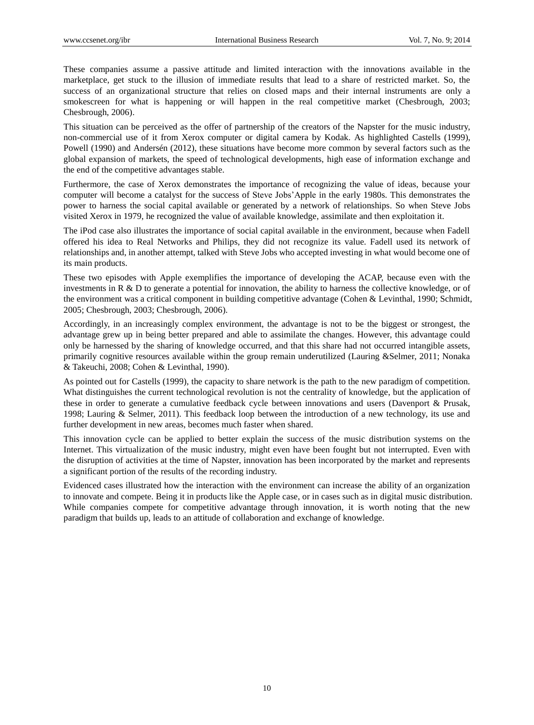These companies assume a passive attitude and limited interaction with the innovations available in the marketplace, get stuck to the illusion of immediate results that lead to a share of restricted market. So, the success of an organizational structure that relies on closed maps and their internal instruments are only a smokescreen for what is happening or will happen in the real competitive market (Chesbrough, 2003; Chesbrough, 2006).

This situation can be perceived as the offer of partnership of the creators of the Napster for the music industry, non-commercial use of it from Xerox computer or digital camera by Kodak. As highlighted Castells (1999), Powell (1990) and Andersén (2012), these situations have become more common by several factors such as the global expansion of markets, the speed of technological developments, high ease of information exchange and the end of the competitive advantages stable.

Furthermore, the case of Xerox demonstrates the importance of recognizing the value of ideas, because your computer will become a catalyst for the success of Steve Jobs'Apple in the early 1980s. This demonstrates the power to harness the social capital available or generated by a network of relationships. So when Steve Jobs visited Xerox in 1979, he recognized the value of available knowledge, assimilate and then exploitation it.

The iPod case also illustrates the importance of social capital available in the environment, because when Fadell offered his idea to Real Networks and Philips, they did not recognize its value. Fadell used its network of relationships and, in another attempt, talked with Steve Jobs who accepted investing in what would become one of its main products.

These two episodes with Apple exemplifies the importance of developing the ACAP, because even with the investments in R & D to generate a potential for innovation, the ability to harness the collective knowledge, or of the environment was a critical component in building competitive advantage (Cohen & Levinthal, 1990; Schmidt, 2005; Chesbrough, 2003; Chesbrough, 2006).

Accordingly, in an increasingly complex environment, the advantage is not to be the biggest or strongest, the advantage grew up in being better prepared and able to assimilate the changes. However, this advantage could only be harnessed by the sharing of knowledge occurred, and that this share had not occurred intangible assets, primarily cognitive resources available within the group remain underutilized (Lauring &Selmer, 2011; Nonaka & Takeuchi, 2008; Cohen & Levinthal, 1990).

As pointed out for Castells (1999), the capacity to share network is the path to the new paradigm of competition. What distinguishes the current technological revolution is not the centrality of knowledge, but the application of these in order to generate a cumulative feedback cycle between innovations and users (Davenport & Prusak, 1998; Lauring & Selmer, 2011). This feedback loop between the introduction of a new technology, its use and further development in new areas, becomes much faster when shared.

This innovation cycle can be applied to better explain the success of the music distribution systems on the Internet. This virtualization of the music industry, might even have been fought but not interrupted. Even with the disruption of activities at the time of Napster, innovation has been incorporated by the market and represents a significant portion of the results of the recording industry.

Evidenced cases illustrated how the interaction with the environment can increase the ability of an organization to innovate and compete. Being it in products like the Apple case, or in cases such as in digital music distribution. While companies compete for competitive advantage through innovation, it is worth noting that the new paradigm that builds up, leads to an attitude of collaboration and exchange of knowledge.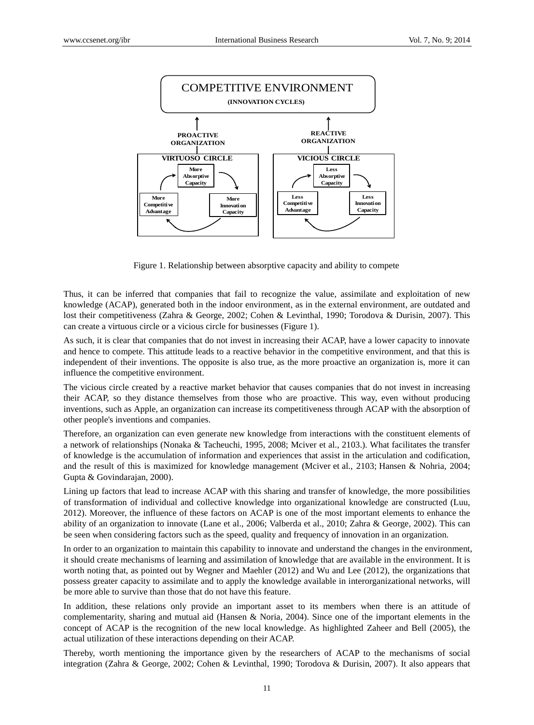

Figure 1. Relationship between absorptive capacity and ability to compete

Thus, it can be inferred that companies that fail to recognize the value, assimilate and exploitation of new knowledge (ACAP), generated both in the indoor environment, as in the external environment, are outdated and lost their competitiveness (Zahra & George, 2002; Cohen & Levinthal, 1990; Torodova & Durisin, 2007). This can create a virtuous circle or a vicious circle for businesses (Figure 1).

As such, it is clear that companies that do not invest in increasing their ACAP, have a lower capacity to innovate and hence to compete. This attitude leads to a reactive behavior in the competitive environment, and that this is independent of their inventions. The opposite is also true, as the more proactive an organization is, more it can influence the competitive environment.

The vicious circle created by a reactive market behavior that causes companies that do not invest in increasing their ACAP, so they distance themselves from those who are proactive. This way, even without producing inventions, such as Apple, an organization can increase its competitiveness through ACAP with the absorption of other people's inventions and companies.

Therefore, an organization can even generate new knowledge from interactions with the constituent elements of a network of relationships (Nonaka & Tacheuchi, 1995, 2008; Mciver et al., 2103.). What facilitates the transfer of knowledge is the accumulation of information and experiences that assist in the articulation and codification, and the result of this is maximized for knowledge management (Mciver et al., 2103; Hansen & Nohria, 2004; Gupta & Govindarajan, 2000).

Lining up factors that lead to increase ACAP with this sharing and transfer of knowledge, the more possibilities of transformation of individual and collective knowledge into organizational knowledge are constructed (Luu, 2012). Moreover, the influence of these factors on ACAP is one of the most important elements to enhance the ability of an organization to innovate (Lane et al., 2006; Valberda et al., 2010; Zahra & George, 2002). This can be seen when considering factors such as the speed, quality and frequency of innovation in an organization.

In order to an organization to maintain this capability to innovate and understand the changes in the environment, it should create mechanisms of learning and assimilation of knowledge that are available in the environment. It is worth noting that, as pointed out by Wegner and Maehler (2012) and Wu and Lee (2012), the organizations that possess greater capacity to assimilate and to apply the knowledge available in interorganizational networks, will be more able to survive than those that do not have this feature.

In addition, these relations only provide an important asset to its members when there is an attitude of complementarity, sharing and mutual aid (Hansen & Noria, 2004). Since one of the important elements in the concept of ACAP is the recognition of the new local knowledge. As highlighted Zaheer and Bell (2005), the actual utilization of these interactions depending on their ACAP.

Thereby, worth mentioning the importance given by the researchers of ACAP to the mechanisms of social integration (Zahra & George, 2002; Cohen & Levinthal, 1990; Torodova & Durisin, 2007). It also appears that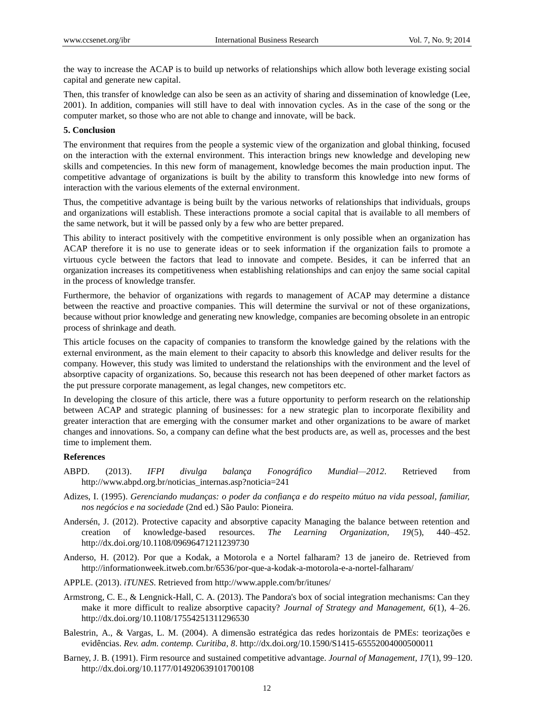the way to increase the ACAP is to build up networks of relationships which allow both leverage existing social capital and generate new capital.

Then, this transfer of knowledge can also be seen as an activity of sharing and dissemination of knowledge (Lee, 2001). In addition, companies will still have to deal with innovation cycles. As in the case of the song or the computer market, so those who are not able to change and innovate, will be back.

#### **5. Conclusion**

The environment that requires from the people a systemic view of the organization and global thinking, focused on the interaction with the external environment. This interaction brings new knowledge and developing new skills and competencies. In this new form of management, knowledge becomes the main production input. The competitive advantage of organizations is built by the ability to transform this knowledge into new forms of interaction with the various elements of the external environment.

Thus, the competitive advantage is being built by the various networks of relationships that individuals, groups and organizations will establish. These interactions promote a social capital that is available to all members of the same network, but it will be passed only by a few who are better prepared.

This ability to interact positively with the competitive environment is only possible when an organization has ACAP therefore it is no use to generate ideas or to seek information if the organization fails to promote a virtuous cycle between the factors that lead to innovate and compete. Besides, it can be inferred that an organization increases its competitiveness when establishing relationships and can enjoy the same social capital in the process of knowledge transfer.

Furthermore, the behavior of organizations with regards to management of ACAP may determine a distance between the reactive and proactive companies. This will determine the survival or not of these organizations, because without prior knowledge and generating new knowledge, companies are becoming obsolete in an entropic process of shrinkage and death.

This article focuses on the capacity of companies to transform the knowledge gained by the relations with the external environment, as the main element to their capacity to absorb this knowledge and deliver results for the company. However, this study was limited to understand the relationships with the environment and the level of absorptive capacity of organizations. So, because this research not has been deepened of other market factors as the put pressure corporate management, as legal changes, new competitors etc.

In developing the closure of this article, there was a future opportunity to perform research on the relationship between ACAP and strategic planning of businesses: for a new strategic plan to incorporate flexibility and greater interaction that are emerging with the consumer market and other organizations to be aware of market changes and innovations. So, a company can define what the best products are, as well as, processes and the best time to implement them.

#### **References**

- ABPD. (2013). *IFPI divulga balança Fonográfico Mundial—2012*. Retrieved from http://www.abpd.org.br/noticias\_internas.asp?noticia=241
- Adizes, I. (1995). *Gerenciando mudanças: o poder da confiança e do respeito mútuo na vida pessoal, familiar, nos negócios e na sociedade* (2nd ed.) São Paulo: Pioneira.
- Andersén, J. (2012). Protective capacity and absorptive capacity Managing the balance between retention and creation of knowledge-based resources. *The Learning Organization, 19*(5), 440–452. http://dx.doi.org/10.1108/09696471211239730
- Anderso, H. (2012). Por que a Kodak, a Motorola e a Nortel falharam? 13 de janeiro de. Retrieved from http://informationweek.itweb.com.br/6536/por-que-a-kodak-a-motorola-e-a-nortel-falharam/
- APPLE. (2013). *iTUNES*. Retrieved from http://www.apple.com/br/itunes/
- Armstrong, C. E., & Lengnick-Hall, C. A. (2013). The Pandora's box of social integration mechanisms: Can they make it more difficult to realize absorptive capacity? *Journal of Strategy and Management, 6*(1), 4–26. http://dx.doi.org/10.1108/17554251311296530
- Balestrin, A., & Vargas, L. M. (2004). A dimensão estratégica das redes horizontais de PMEs: teorizações e evidências. *Rev. adm. contemp. Curitiba, 8*. http://dx.doi.org/10.1590/S1415-65552004000500011
- Barney, J. B. (1991). Firm resource and sustained competitive advantage. *Journal of Management, 17*(1), 99–120. http://dx.doi.org/10.1177/014920639101700108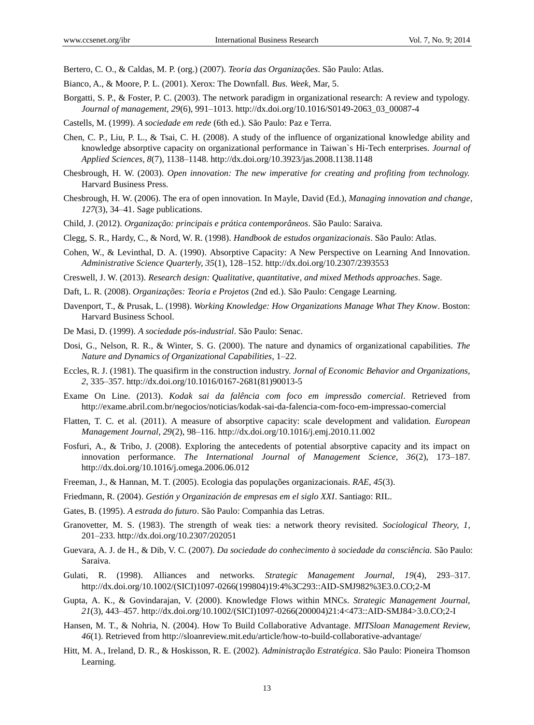Bertero, C. O., & Caldas, M. P. (org.) (2007). *Teoria das Organizações*. São Paulo: Atlas.

- Bianco, A., & Moore, P. L. (2001). Xerox: The Downfall. *Bus. Week*, Mar, 5.
- Borgatti, S. P., & Foster, P. C. (2003). The network paradigm in organizational research: A review and typology. *Journal of management, 29*(6), 991–1013. http://dx.doi.org/10.1016/S0149-2063\_03\_00087-4
- Castells, M. (1999). *A sociedade em rede* (6th ed.). São Paulo: Paz e Terra.
- Chen, C. P., Liu, P. L., & Tsai, C. H. (2008). A study of the influence of organizational knowledge ability and knowledge absorptive capacity on organizational performance in Taiwan`s Hi-Tech enterprises. *Journal of Applied Sciences, 8*(7), 1138–1148. http://dx.doi.org/10.3923/jas.2008.1138.1148
- Chesbrough, H. W. (2003). *Open innovation: The new imperative for creating and profiting from technology.* Harvard Business Press.
- Chesbrough, H. W. (2006). The era of open innovation. In Mayle, David (Ed.), *Managing innovation and change, 127*(3), 34–41. Sage publications.
- Child, J. (2012). *Organização: principais e prática contemporâneos*. São Paulo: Saraiva.
- Clegg, S. R., Hardy, C., & Nord, W. R. (1998). *Handbook de estudos organizacionais*. São Paulo: Atlas.
- Cohen, W., & Levinthal, D. A. (1990). Absorptive Capacity: A New Perspective on Learning And Innovation. *Administrative Science Quarterly, 35*(1), 128–152. http://dx.doi.org/10.2307/2393553
- Creswell, J. W. (2013). *Research design: Qualitative, quantitative, and mixed Methods approaches*. Sage.
- Daft, L. R. (2008). *Organizações: Teoria e Projetos* (2nd ed.). São Paulo: Cengage Learning.
- Davenport, T., & Prusak, L. (1998). *Working Knowledge: How Organizations Manage What They Know*. Boston: Harvard Business School.
- De Masi, D. (1999). *A sociedade pós-industrial*. São Paulo: Senac.
- Dosi, G., Nelson, R. R., & Winter, S. G. (2000). The nature and dynamics of organizational capabilities. *The Nature and Dynamics of Organizational Capabilities*, 1–22.
- Eccles, R. J. (1981). The quasifirm in the construction industry. *Jornal of Economic Behavior and Organizations, 2*, 335–357. http://dx.doi.org/10.1016/0167-2681(81)90013-5
- Exame On Line. (2013). *Kodak sai da falência com foco em impressão comercial*. Retrieved from http://exame.abril.com.br/negocios/noticias/kodak-sai-da-falencia-com-foco-em-impressao-comercial
- Flatten, T. C. et al. (2011). A measure of absorptive capacity: scale development and validation. *European Management Journal, 29*(2), 98–116. http://dx.doi.org/10.1016/j.emj.2010.11.002
- Fosfuri, A., & Tribo, J. (2008). Exploring the antecedents of potential absorptive capacity and its impact on innovation performance. *The International Journal of Management Science, 36*(2), 173–187. http://dx.doi.org/10.1016/j.omega.2006.06.012
- Freeman, J., & Hannan, M. T. (2005). Ecologia das populações organizacionais. *RAE, 45*(3).
- Friedmann, R. (2004). *Gestión y Organización de empresas em el siglo XXI*. Santiago: RIL.
- Gates, B. (1995). *A estrada do futuro*. São Paulo: Companhia das Letras.
- Granovetter, M. S. (1983). The strength of weak ties: a network theory revisited. *Sociological Theory, 1*, 201–233. http://dx.doi.org/10.2307/202051
- Guevara, A. J. de H., & Dib, V. C. (2007). *Da sociedade do conhecimento à sociedade da consciência.* São Paulo: Saraiva.
- Gulati, R. (1998). Alliances and networks. *Strategic Management Journal, 19*(4), 293–317. http://dx.doi.org/10.1002/(SICI)1097-0266(199804)19:4%3C293::AID-SMJ982%3E3.0.CO;2-M
- Gupta, A. K., & Govindarajan, V. (2000). Knowledge Flows within MNCs. *Strategic Management Journal, 21*(3), 443–457. http://dx.doi.org/10.1002/(SICI)1097-0266(200004)21:4<473::AID-SMJ84>3.0.CO;2-I
- Hansen, M. T., & Nohria, N. (2004). How To Build Collaborative Advantage. *MITSloan Management Review, 46*(1). Retrieved from http://sloanreview.mit.edu/article/how-to-build-collaborative-advantage/
- Hitt, M. A., Ireland, D. R., & Hoskisson, R. E. (2002). *Administração Estratégica*. São Paulo: Pioneira Thomson Learning.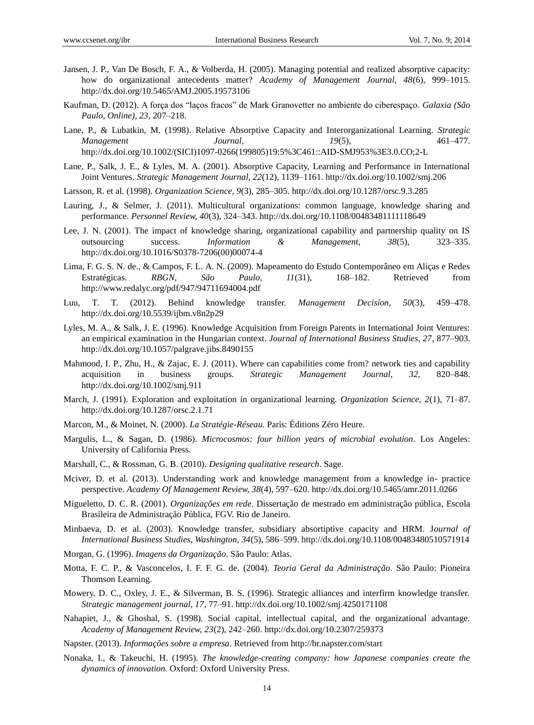- Jansen, J. P., Van De Bosch, F. A., & Volberda, H. (2005). Managing potential and realized absorptive capacity: how do organizational antecedents matter? *Academy of Management Journal, 48*(6), 999–1015. http://dx.doi.org/10.5465/AMJ.2005.19573106
- Kaufman, D. (2012). A força dos "laços fracos" de Mark Granovetter no ambiente do ciberespaço. *Galaxia (São Paulo, Online), 23*, 207–218.
- Lane, P., & Lubatkin, M. (1998). Relative Absorptive Capacity and Interorganizational Learning. *Strategic Management Journal, 19*(5), 461–477. http://dx.doi.org/10.1002/(SICI)1097-0266(199805)19:5%3C461::AID-SMJ953%3E3.0.CO;2-L
- Lane, P., Salk, J. E., & Lyles, M. A. (2001). Absorptive Capacity, Learning and Performance in International Joint Ventures. *Strategic Management Journal, 22*(12), 1139–1161. http://dx.doi.org/10.1002/smj.206
- Larsson, R. et al. (1998). *Organization Science, 9*(3), 285–305. http://dx.doi.org/10.1287/orsc.9.3.285
- Lauring, J., & Selmer, J. (2011). Multicultural organizations: common language, knowledge sharing and performance. *Personnel Review, 40*(3), 324–343. http://dx.doi.org/10.1108/00483481111118649
- Lee, J. N. (2001). The impact of knowledge sharing, organizational capability and partnership quality on IS outsourcing success. *Information & Management, 38*(5), 323–335. http://dx.doi.org/10.1016/S0378-7206(00)00074-4
- Lima, F. G. S. N. de., & Campos, F. L. A. N. (2009). Mapeamento do Estudo Contemporâneo em Aliças e Redes Estratégicas. *RBGN, São Paulo, 11*(31), 168–182. Retrieved from http://www.redalyc.org/pdf/947/94711694004.pdf
- Luu, T. T. (2012). Behind knowledge transfer. *Management Decision, 50*(3), 459–478. http://dx.doi.org/10.5539/ijbm.v8n2p29
- Lyles, M. A., & Salk, J. E. (1996). Knowledge Acquisition from Foreign Parents in International Joint Ventures: an empirical examination in the Hungarian context. *Journal of International Business Studies, 27*, 877–903. http://dx.doi.org/10.1057/palgrave.jibs.8490155
- Mahmood, I. P., Zhu, H., & Zajac, E. J. (2011). Where can capabilities come from? network ties and capability acquisition in business groups. *Strategic Management Journal, 32*, 820–848. http://dx.doi.org/10.1002/smj.911
- March, J. (1991). Exploration and exploitation in organizational learning. *Organization Science, 2*(1), 71–87. http://dx.doi.org/10.1287/orsc.2.1.71
- Marcon, M., & Moinet, N. (2000). *La Stratégie-Réseau.* Paris: Éditions Zéro Heure.
- Margulis, L., & Sagan, D. (1986). *Microcosmos: four billion years of microbial evolution*. Los Angeles: University of California Press.
- Marshall, C., & Rossman, G. B. (2010). *Designing qualitative research*. Sage.
- Mciver, D. et al. (2013). Understanding work and knowledge management from a knowledge in- practice perspective. *Academy Of Management Review, 38*(4), 597–620. http://dx.doi.org/10.5465/amr.2011.0266
- Migueletto, D. C. R. (2001). *Organizações em rede*. Dissertação de mestrado em administração pública, Escola Brasileira de Administração Pública, FGV. Rio de Janeiro.
- Minbaeva, D. et al. (2003). Knowledge transfer, subsidiary absortiptive capacity and HRM. J*ournal of International Business Studies, Washington, 34*(5), 586–599. http://dx.doi.org/10.1108/00483480510571914
- Morgan, G. (1996). *Imagens da Organização*. São Paulo: Atlas.
- Motta, F. C. P., & Vasconcelos, I. F. F. G. de. (2004). *Teoria Geral da Administração*. São Paulo: Pioneira Thomson Learning.
- Mowery, D. C., Oxley, J. E., & Silverman, B. S. (1996). Strategic alliances and interfirm knowledge transfer. *Strategic management journal, 17*, 77–91. http://dx.doi.org/10.1002/smj.4250171108
- Nahapiet, J., & Ghoshal, S. (1998). Social capital, intellectual capital, and the organizational advantage. *Academy of Management Review, 23*(2), 242–260. http://dx.doi.org/10.2307/259373
- Napster. (2013). *Informações sobre a empresa*. Retrieved from http://br.napster.com/start
- Nonaka, I., & Takeuchi, H. (1995). *The knowledge-creating company: how Japanese companies create the dynamics of innovation.* Oxford: Oxford University Press.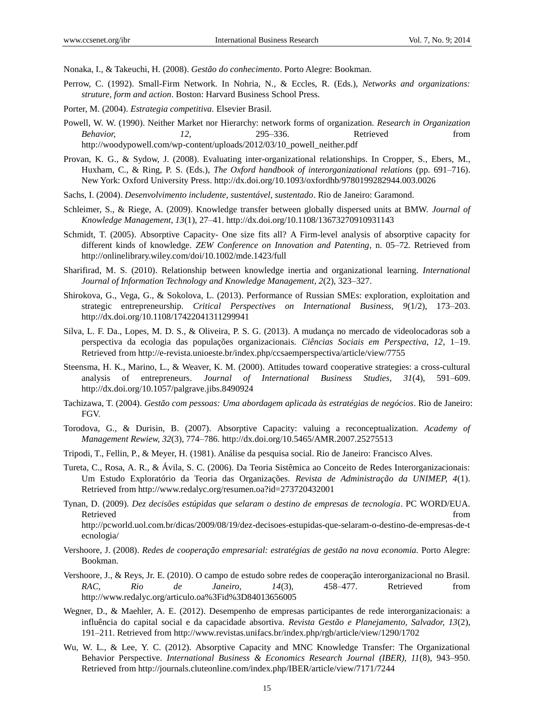Nonaka, I., & Takeuchi, H. (2008). *Gestão do conhecimento*. Porto Alegre: Bookman.

- Perrow, C. (1992). Small-Firm Network. In Nohria, N., & Eccles, R. (Eds.), *Networks and organizations: struture, form and action*. Boston: Harvard Business School Press.
- Porter, M. (2004). *Estrategia competitiva.* Elsevier Brasil.
- Powell, W. W. (1990). Neither Market nor Hierarchy: network forms of organization. *Research in Organization Behavior, 12*, 295–336. Retrieved from http://woodypowell.com/wp-content/uploads/2012/03/10\_powell\_neither.pdf
- Provan, K. G., & Sydow, J. (2008). Evaluating inter-organizational relationships. In Cropper, S., Ebers, M., Huxham, C., & Ring, P. S. (Eds.), *The Oxford handbook of interorganizational relations* (pp. 691–716). New York: Oxford University Press. http://dx.doi.org/10.1093/oxfordhb/9780199282944.003.0026
- Sachs, I. (2004). *Desenvolvimento includente, sustentável, sustentado*. Rio de Janeiro: Garamond.
- Schleimer, S., & Riege, A. (2009). Knowledge transfer between globally dispersed units at BMW. *Journal of Knowledge Management, 13*(1), 27–41. http://dx.doi.org/10.1108/13673270910931143
- Schmidt, T. (2005). Absorptive Capacity- One size fits all? A Firm-level analysis of absorptive capacity for different kinds of knowledge. *ZEW Conference on Innovation and Patenting*, n. 05–72. Retrieved from http://onlinelibrary.wiley.com/doi/10.1002/mde.1423/full
- Sharifirad, M. S. (2010). Relationship between knowledge inertia and organizational learning. *International Journal of Information Technology and Knowledge Management, 2*(2), 323–327.
- Shirokova, G., Vega, G., & Sokolova, L. (2013). Performance of Russian SMEs: exploration, exploitation and strategic entrepreneurship. *Critical Perspectives on International Business, 9*(1/2), 173–203. http://dx.doi.org/10.1108/17422041311299941
- Silva, L. F. Da., Lopes, M. D. S., & Oliveira, P. S. G. (2013). A mudança no mercado de videolocadoras sob a perspectiva da ecologia das populações organizacionais. *Ciências Sociais em Perspectiva, 12*, 1–19. Retrieved from http://e-revista.unioeste.br/index.php/ccsaemperspectiva/article/view/7755
- Steensma, H. K., Marino, L., & Weaver, K. M. (2000). Attitudes toward cooperative strategies: a cross-cultural analysis of entrepreneurs. *Journal of International Business Studies, 31*(4), 591–609. http://dx.doi.org/10.1057/palgrave.jibs.8490924
- Tachizawa, T. (2004). *Gestão com pessoas: Uma abordagem aplicada às estratégias de negócios*. Rio de Janeiro: FGV.
- Torodova, G., & Durisin, B. (2007). Absorptive Capacity: valuing a reconceptualization. *Academy of Management Rewiew, 32*(3), 774–786[. http://dx.doi.org/10.5465/AMR.2007.25275513](http://dx.doi.org/10.5465/AMR.2007.25275513)
- Tripodi, T., Fellin, P., & Meyer, H. (1981). Análise da pesquisa social. Rio de Janeiro: Francisco Alves.
- Tureta, C., Rosa, A. R., & Ávila, S. C. (2006). Da Teoria Sistêmica ao Conceito de Redes Interorganizacionais: Um Estudo Exploratório da Teoria das Organizações. *Revista de Administração da UNIMEP, 4*(1). Retrieved from http://www.redalyc.org/resumen.oa?id=273720432001
- Tynan, D. (2009). *Dez decisões estúpidas que selaram o destino de empresas de tecnologia*. PC WORD/EUA. Retrieved that the contract of the contract of the contract of the contract of the contract of the contract of the contract of the contract of the contract of the contract of the contract of the contract of the contract of

http://pcworld.uol.com.br/dicas/2009/08/19/dez-decisoes-estupidas-que-selaram-o-destino-de-empresas-de-t ecnologia/

- Vershoore, J. (2008). *Redes de cooperação empresarial: estratégias de gestão na nova economia.* Porto Alegre: Bookman.
- Vershoore, J., & Reys, Jr. E. (2010). O campo de estudo sobre redes de cooperação interorganizacional no Brasil. *RAC, Rio de Janeiro, 14*(3), 458–477. Retrieved from http://www.redalyc.org/articulo.oa%3Fid%3D84013656005
- Wegner, D., & Maehler, A. E. (2012). Desempenho de empresas participantes de rede interorganizacionais: a influência do capital social e da capacidade absortiva. *Revista Gestão e Planejamento, Salvador, 13*(2), 191–211. Retrieved from http://www.revistas.unifacs.br/index.php/rgb/article/view/1290/1702
- Wu, W. L., & Lee, Y. C. (2012). Absorptive Capacity and MNC Knowledge Transfer: The Organizational Behavior Perspective. *International Business & Economics Research Journal (IBER), 11*(8), 943–950. Retrieved from http://journals.cluteonline.com/index.php/IBER/article/view/7171/7244